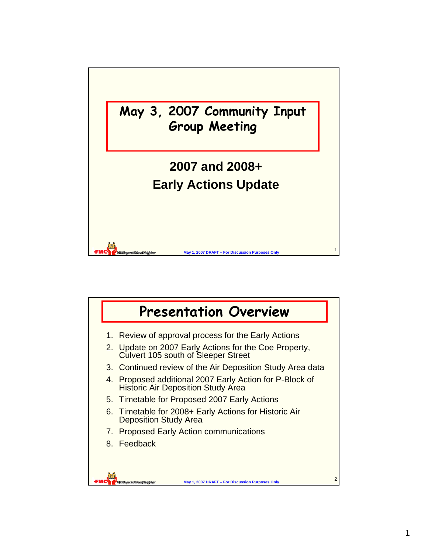

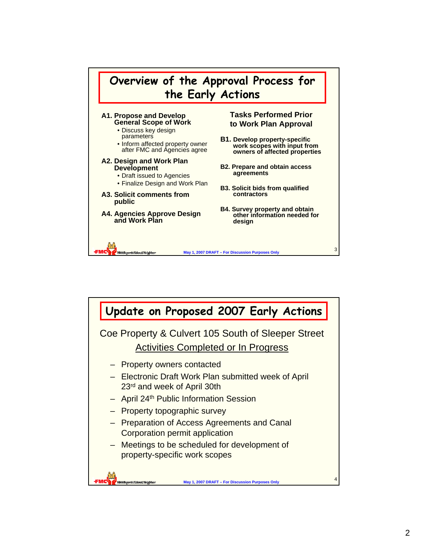

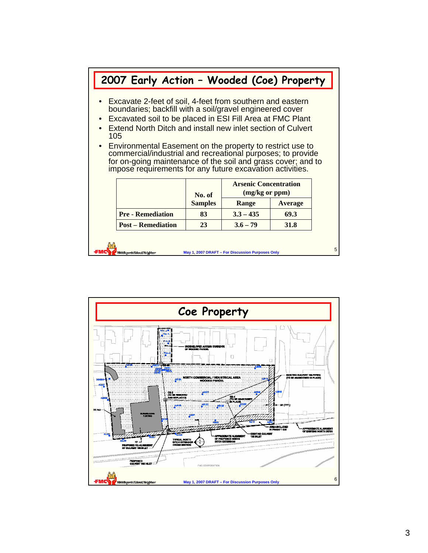## <sup>5</sup> **May 1, 2007 DRAFT – For Discussion Purposes Only 2007 Early Action – Wooded (Coe) Property** • Excavate 2-feet of soil, 4-feet from southern and eastern boundaries; backfill with a soil/gravel engineered cover • Excavated soil to be placed in ESI Fill Area at FMC Plant • Extend North Ditch and install new inlet section of Culvert 105 • Environmental Easement on the property to restrict use to commercial/industrial and recreational purposes; to provide for on-going maintenance of the soil and grass cover; and to impose requirements for any future excavation activities. **Post – Remediation Pre - Remediation 23 3.6 – 79 31.8 83 3.3 – 435 69.3 Range Average Arsenic Concentration No. of (mg/kg or ppm) Samples**

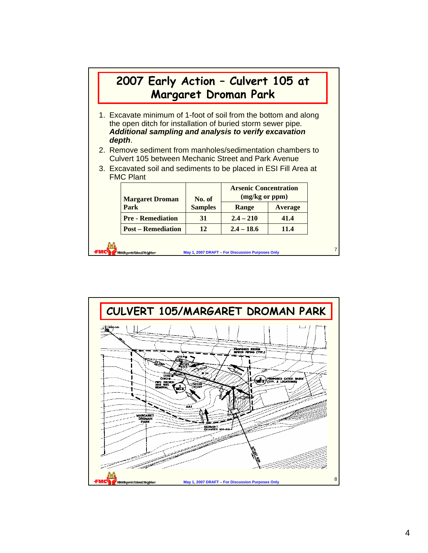| 2007 Early Action - Culvert 105 at                                                                                                                                                                        |                | <b>Margaret Droman Park</b>                    |         |  |
|-----------------------------------------------------------------------------------------------------------------------------------------------------------------------------------------------------------|----------------|------------------------------------------------|---------|--|
| 1. Excavate minimum of 1-foot of soil from the bottom and along<br>the open ditch for installation of buried storm sewer pipe.<br>Additional sampling and analysis to verify excavation<br>depth.         |                |                                                |         |  |
|                                                                                                                                                                                                           |                |                                                |         |  |
| 2. Remove sediment from manholes/sedimentation chambers to<br>Culvert 105 between Mechanic Street and Park Avenue<br>3. Excavated soil and sediments to be placed in ESI Fill Area at<br><b>FMC Plant</b> |                |                                                |         |  |
| <b>Margaret Droman</b>                                                                                                                                                                                    | No. of         | <b>Arsenic Concentration</b><br>(mg/kg or ppm) |         |  |
| Park                                                                                                                                                                                                      | <b>Samples</b> | Range                                          | Average |  |
| <b>Pre - Remediation</b>                                                                                                                                                                                  | 31             | $2.4 - 210$                                    | 41.4    |  |

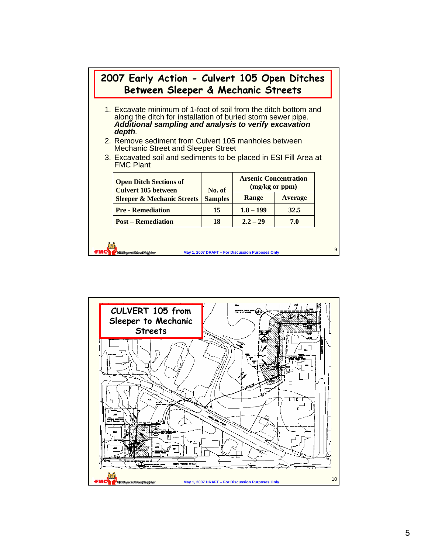|  | 2007 Early Action - Culvert 105 Open Ditches<br>Between Sleeper & Mechanic Streets                                                                                                                     |  |                                                  |  |  |  |  |  |  |
|--|--------------------------------------------------------------------------------------------------------------------------------------------------------------------------------------------------------|--|--------------------------------------------------|--|--|--|--|--|--|
|  | 1. Excavate minimum of 1-foot of soil from the ditch bottom and<br>along the ditch for installation of buried storm sewer pipe.<br>Additional sampling and analysis to verify excavation<br>depth.     |  |                                                  |  |  |  |  |  |  |
|  | 2. Remove sediment from Culvert 105 manholes between<br><b>Mechanic Street and Sleeper Street</b>                                                                                                      |  |                                                  |  |  |  |  |  |  |
|  | 3. Excavated soil and sediments to be placed in ESI Fill Area at<br><b>FMC Plant</b>                                                                                                                   |  |                                                  |  |  |  |  |  |  |
|  | <b>Arsenic Concentration</b><br><b>Open Ditch Sections of</b><br>(mg/kg or ppm)<br><b>Culvert 105 between</b><br>No. of<br>Average<br>Range<br><b>Sleeper &amp; Mechanic Streets</b><br><b>Samples</b> |  |                                                  |  |  |  |  |  |  |
|  |                                                                                                                                                                                                        |  |                                                  |  |  |  |  |  |  |
|  | $1.8 - 199$<br><b>Pre - Remediation</b><br>15<br>32.5                                                                                                                                                  |  |                                                  |  |  |  |  |  |  |
|  | $2.2 - 29$<br><b>Post – Remediation</b><br>18<br>7.0                                                                                                                                                   |  |                                                  |  |  |  |  |  |  |
|  | <b>Hiddlesserts Valueal Nelschlass</b>                                                                                                                                                                 |  | May 1, 2007 DRAFT - For Discussion Purposes Only |  |  |  |  |  |  |

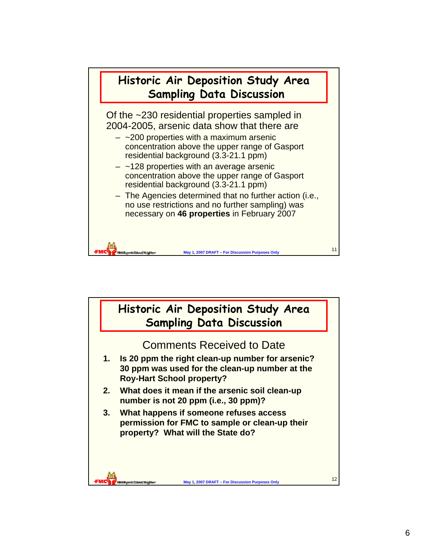

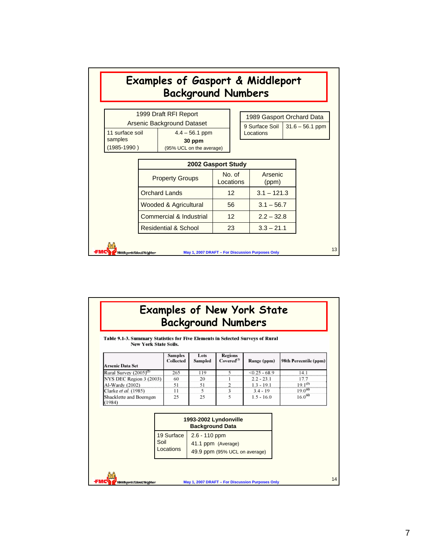|                                                                                                    |  | <b>Examples of Gasport &amp; Middleport</b><br><b>Background Numbers</b> |  |                     |           |                                             |  |                   |
|----------------------------------------------------------------------------------------------------|--|--------------------------------------------------------------------------|--|---------------------|-----------|---------------------------------------------|--|-------------------|
| 1999 Draft RFI Report<br>Arsenic Background Dataset                                                |  |                                                                          |  |                     |           | 1989 Gasport Orchard Data<br>9 Surface Soil |  | $31.6 - 56.1$ ppm |
| 11 surface soil<br>samples<br>(1985-1990)                                                          |  | $4.4 - 56.1$ ppm<br>30 ppm<br>(95% UCL on the average)                   |  |                     | Locations |                                             |  |                   |
| 2002 Gasport Study                                                                                 |  |                                                                          |  |                     |           |                                             |  |                   |
| <b>Property Groups</b><br><b>Orchard Lands</b><br>Wooded & Agricultural<br>Commercial & Industrial |  |                                                                          |  | No. of<br>Locations |           | Arsenic<br>(ppm)                            |  |                   |
|                                                                                                    |  |                                                                          |  | 12 <sup>°</sup>     |           | $3.1 - 121.3$                               |  |                   |
|                                                                                                    |  |                                                                          |  | 56                  |           | $3.1 - 56.7$                                |  |                   |
|                                                                                                    |  | 12 <sup>2</sup>                                                          |  | $2.2 - 32.8$        |           |                                             |  |                   |
|                                                                                                    |  | <b>Residential &amp; School</b>                                          |  | 23                  |           | $3.3 - 21.1$                                |  |                   |
| Middlesserts Valueal Neighbor                                                                      |  | May 1, 2007 DRAFT - For Discussion Purposes Only                         |  |                     |           |                                             |  |                   |

| <b>Examples of New York State</b> |  |
|-----------------------------------|--|
| <b>Background Numbers</b>         |  |

Table 9.1-3. Summary Statistics for Five Elements in Selected Surveys of Rural New York State Soils.

| Arsenic Data Set                  | <b>Samples</b><br>Collected | Lots<br>Sampled | Regions<br>$Covered^{(1)}$ | Range (ppm)     | 98th Percentile (ppm) |
|-----------------------------------|-----------------------------|-----------------|----------------------------|-----------------|-----------------------|
| Rural Survey $(2005)^{(2)}$       | 265                         | 119             |                            | $< 0.25 - 68.9$ | l4. I                 |
| NYS DEC Region 3 (2003)           | 60                          | 20              |                            | $2.2 - 23.1$    | 17.7                  |
| Al-Wardy (2002)                   | 51                          | 51              |                            | $1.3 - 19.1$    | $19.1^{(3)}$          |
| Clarke et al. (1985)              | 11                          |                 |                            | $3.4 - 19$      | $19.0^{(4)}$          |
| Shacklette and Boerngen<br>(1984) | 25                          | 25              |                            | $1.5 - 16.0$    | $16.0^{(4)}$          |

|            | 1993-2002 Lyndonville<br><b>Background Data</b> |
|------------|-------------------------------------------------|
| 19 Surface | $2.6 - 110$ ppm                                 |
| Soil       | 41.1 ppm (Average)                              |
| Locations  | 49.9 ppm (95% UCL on average)                   |

ũij ,<br>Bibliotepartic Value of Nelsgidner

fMC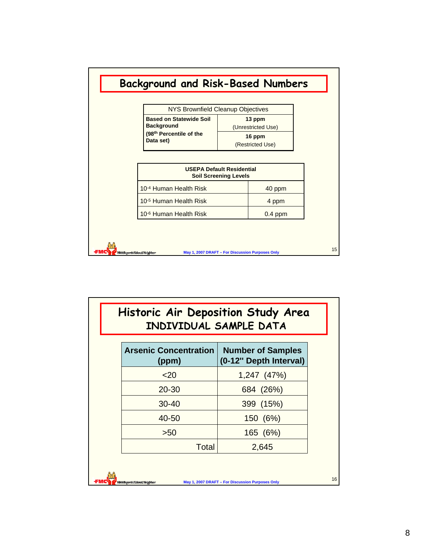

| <b>Arsenic Concentration</b><br>(ppm) | <b>Number of Samples</b><br>(0-12" Depth Interval) |
|---------------------------------------|----------------------------------------------------|
| $20$                                  | 1,247 (47%)                                        |
| 20-30                                 | 684 (26%)                                          |
| $30 - 40$                             | 399 (15%)                                          |
| 40-50                                 | 150 (6%)                                           |
| >50                                   | 165 (6%)                                           |
| Total                                 | 2,645                                              |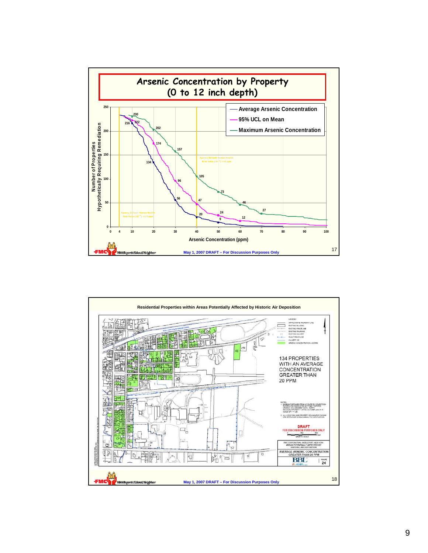

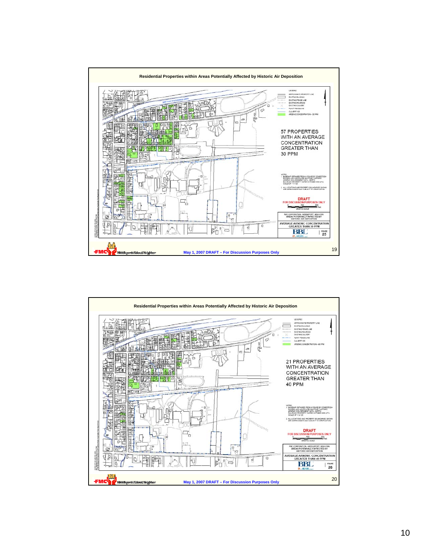

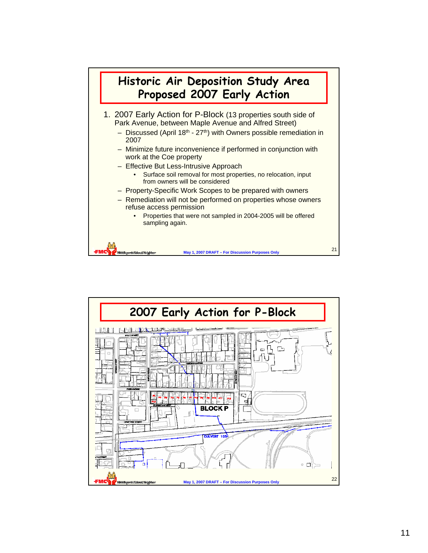

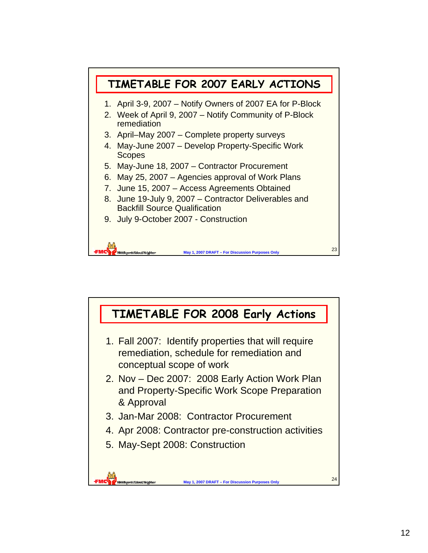

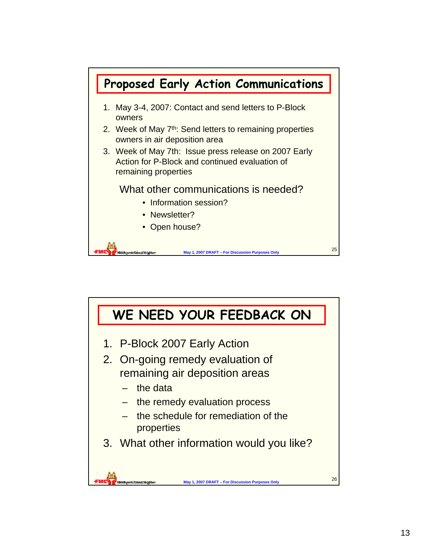

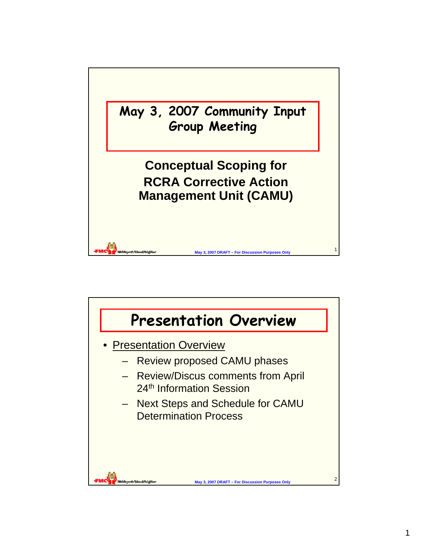

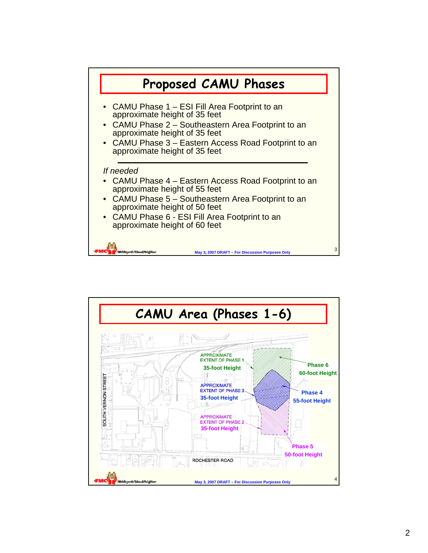

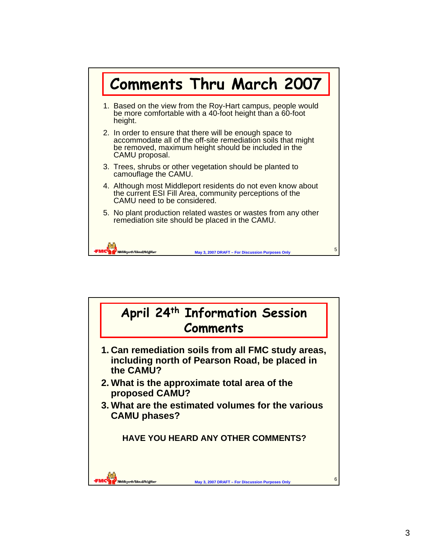